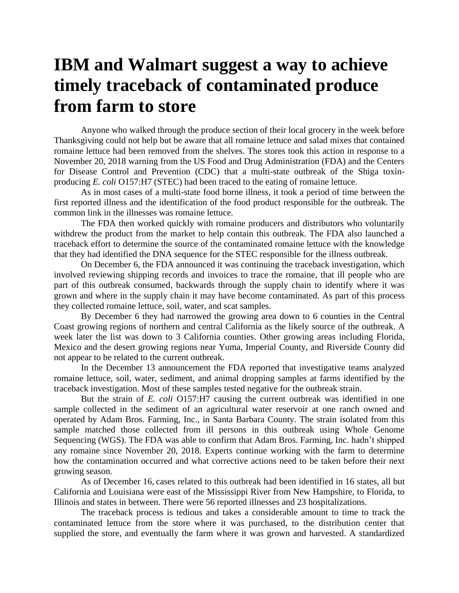## **IBM and Walmart suggest a way to achieve timely traceback of contaminated produce from farm to store**

Anyone who walked through the produce section of their local grocery in the week before Thanksgiving could not help but be aware that all romaine lettuce and salad mixes that contained romaine lettuce had been removed from the shelves. The stores took this action in response to a November 20, 2018 warning from the US Food and Drug Administration (FDA) and the Centers for Disease Control and Prevention (CDC) that a multi-state outbreak of the Shiga toxinproducing *E. coli* O157:H7 (STEC) had been traced to the eating of romaine lettuce.

As in most cases of a multi-state food borne illness, it took a period of time between the first reported illness and the identification of the food product responsible for the outbreak. The common link in the illnesses was romaine lettuce.

The FDA then worked quickly with romaine producers and distributors who voluntarily withdrew the product from the market to help contain this outbreak. The FDA also launched a traceback effort to determine the source of the contaminated romaine lettuce with the knowledge that they had identified the DNA sequence for the STEC responsible for the illness outbreak.

On December 6, the FDA announced it was continuing the traceback investigation, which involved reviewing shipping records and invoices to trace the romaine, that ill people who are part of this outbreak consumed, backwards through the supply chain to identify where it was grown and where in the supply chain it may have become contaminated. As part of this process they collected romaine lettuce, soil, water, and scat samples.

By December 6 they had narrowed the growing area down to 6 counties in the Central Coast growing regions of northern and central California as the likely source of the outbreak. A week later the list was down to 3 California counties. Other growing areas including Florida, Mexico and the desert growing regions near Yuma, Imperial County, and Riverside County did not appear to be related to the current outbreak.

In the December 13 announcement the FDA reported that investigative teams analyzed romaine lettuce, soil, water, sediment, and animal dropping samples at farms identified by the traceback investigation. Most of these samples tested negative for the outbreak strain.

But the strain of *E. coli* O157:H7 causing the current outbreak was identified in one sample collected in the sediment of an agricultural water reservoir at one ranch owned and operated by Adam Bros. Farming, Inc., in Santa Barbara County. The strain isolated from this sample matched those collected from ill persons in this outbreak using Whole Genome Sequencing (WGS). The FDA was able to confirm that Adam Bros. Farming, Inc. hadn't shipped any romaine since November 20, 2018. Experts continue working with the farm to determine how the contamination occurred and what corrective actions need to be taken before their next growing season.

As of December 16, cases related to this outbreak had been identified in 16 states, all but California and Louisiana were east of the Mississippi River from New Hampshire, to Florida, to Illinois and states in between. There were 56 reported illnesses and 23 hospitalizations.

The traceback process is tedious and takes a considerable amount to time to track the contaminated lettuce from the store where it was purchased, to the distribution center that supplied the store, and eventually the farm where it was grown and harvested. A standardized